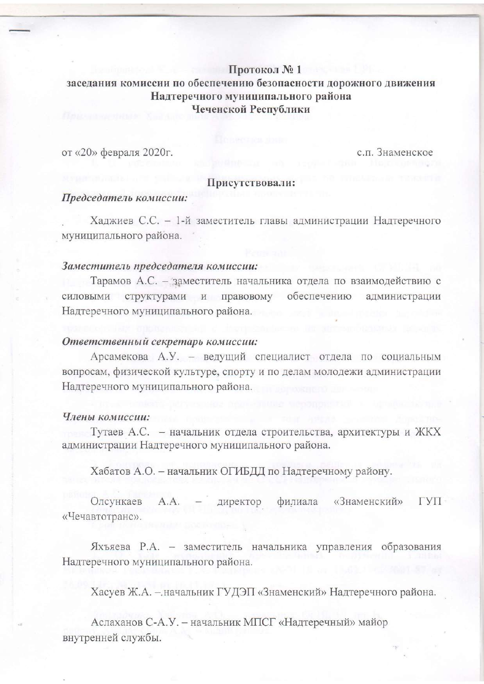# Протокол № 1 заседания комиссии по обеспечению безопасности дорожного движения Надтеречного муниципального района Чеченской Республики

от «20» февраля 2020г.

с.п. Знаменское

## Присутствовали:

### Председатель комиссии:

Хаджиев С.С. - 1-й заместитель главы администрации Надтеречного муниципального района.

### Заместитель председателя комиссии:

Тарамов А.С. - заместитель начальника отдела по взаимодействию с силовыми структурами и правовому обеспечению администрации Надтеречного муниципального района.

## Ответственный секретарь комиссии:

Арсамекова А.У. - ведущий специалист отдела по социальным вопросам, физической культуре, спорту и по делам молодежи администрации Надтеречного муниципального района.

#### Члены комиссии:

Тутаев А.С. - начальник отдела строительства, архитектуры и ЖКХ администрации Надтеречного муниципального района.

Хабатов А.О. - начальник ОГИБДД по Надтеречному району.

Олсункаев A.A. филиала «Знаменский» директор ГУП «Чечавтотранс».

Яхъяева Р.А. - заместитель начальника управления образования Надтеречного муниципального района.

Хасуев Ж.А. - начальник ГУДЭП «Знаменский» Надтеречного района.

Аслаханов С-А.У. - начальник МПСГ «Надтеречный» майор внутренней службы.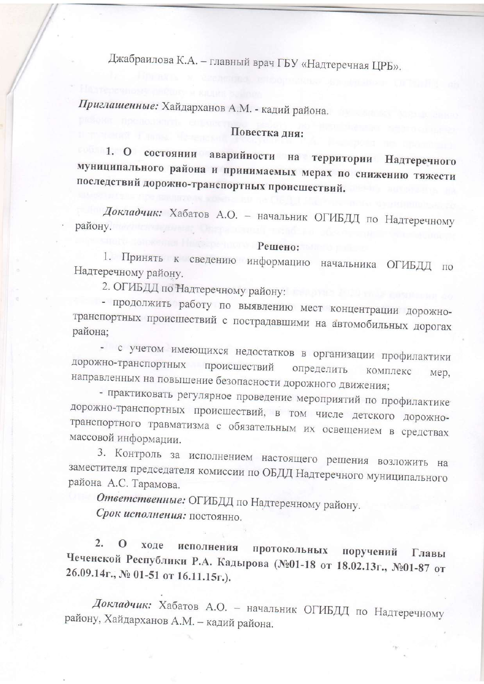Джабраилова К.А. - главный врач ГБУ «Надтеречная ЦРБ».

Приглашенные: Хайдарханов А.М. - кадий района.

# Повестка дня:

1. О состоянии аварийности на территории Надтеречного муниципального района и принимаемых мерах по снижению тяжести последствий дорожно-транспортных происшествий.

Докладчик: Хабатов А.О. - начальник ОГИБДД по Надтеречному району.

#### Решено:

1. Принять к сведению информацию начальника ОГИБДД по Надтеречному району.

2. ОГИБДД по Надтеречному району:

- продолжить работу по выявлению мест концентрации дорожнотранспортных происшествий с пострадавшими на автомобильных дорогах района;

- с учетом имеющихся недостатков в организации профилактики дорожно-транспортных происшествий определить комплекс мер, направленных на повышение безопасности дорожного движения;

- практиковать регулярное проведение мероприятий по профилактике дорожно-транспортных происшествий, в том числе детского дорожнотранспортного травматизма с обязательным их освещением в средствах массовой информации.

3. Контроль за исполнением настоящего решения возложить на заместителя председателя комиссии по ОБДД Надтеречного муниципального района А.С. Тарамова.

Ответственные: ОГИБДД по Надтеречному району. Срок исполнения: постоянно.

2. О ходе исполнения протокольных поручений Главы Чеченской Республики Р.А. Кадырова (№01-18 от 18.02.13г., №01-87 от 26.09.14г., № 01-51 от 16.11.15г.).

Докладчик: Хабатов А.О. - начальник ОГИБДД по Надтеречному району, Хайдарханов А.М. - кадий района.